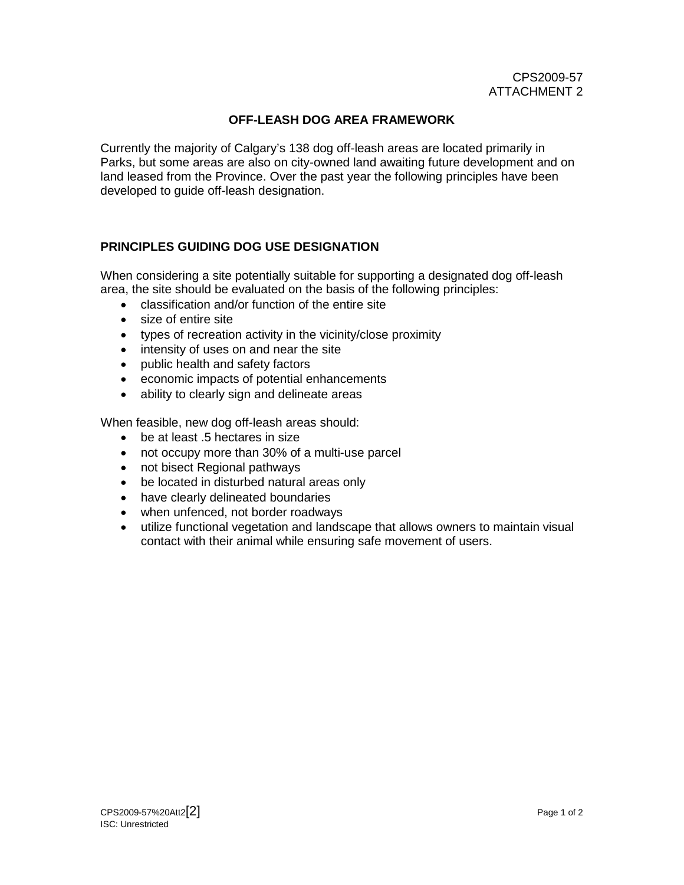## **OFF-LEASH DOG AREA FRAMEWORK**

<span id="page-0-0"></span>Currently the majority of Calgary's 138 dog off-leash areas are located primarily in Parks, but some areas are also on city-owned land awaiting future development and on land leased from the Province. Over the past year the following principles have been developed to guide off-leash designation.

## **PRINCIPLES GUIDING DOG USE DESIGNATION**

When considering a site potentially suitable for supporting a designated dog off-leash area, the site should be evaluated on the basis of the following principles:

- classification and/or function of the entire site
- size of entire site
- types of recreation activity in the vicinity/close proximity
- intensity of uses on and near the site
- public health and safety factors
- economic impacts of potential enhancements
- ability to clearly sign and delineate areas

When feasible, new dog off-leash areas should:

- be at least .5 hectares in size
- not occupy more than 30% of a multi-use parcel
- not bisect Regional pathways
- be located in disturbed natural areas only
- have clearly delineated boundaries
- when unfenced, not border roadways
- utilize functional vegetation and landscape that allows owners to maintain visual contact with their animal while ensuring safe movement of users.